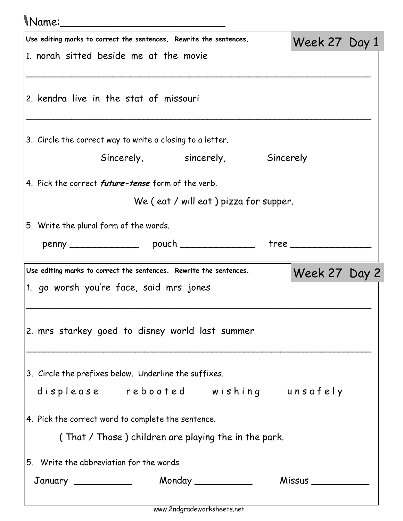## Name:\_\_\_\_\_\_\_\_\_\_\_\_\_\_\_\_\_\_\_\_\_\_\_\_\_

| U vullice<br>Use editing marks to correct the sentences. Rewrite the sentences. |  |                                                      |  |                        |  |  |
|---------------------------------------------------------------------------------|--|------------------------------------------------------|--|------------------------|--|--|
| 1. norah sitted beside me at the movie                                          |  |                                                      |  | Week 27 Day 1          |  |  |
|                                                                                 |  |                                                      |  |                        |  |  |
| 2. kendra live in the stat of missouri                                          |  |                                                      |  |                        |  |  |
| 3. Circle the correct way to write a closing to a letter.                       |  |                                                      |  |                        |  |  |
|                                                                                 |  | Sincerely, sincerely, Sincerely                      |  |                        |  |  |
| 4. Pick the correct <i>future-tense</i> form of the verb.                       |  |                                                      |  |                        |  |  |
|                                                                                 |  | We (eat / will eat) pizza for supper.                |  |                        |  |  |
| 5. Write the plural form of the words.                                          |  |                                                      |  |                        |  |  |
|                                                                                 |  |                                                      |  | tree _________________ |  |  |
|                                                                                 |  |                                                      |  |                        |  |  |
| Use editing marks to correct the sentences. Rewrite the sentences.              |  |                                                      |  | Week 27 Day 2          |  |  |
| 1. go worsh you're face, said mrs jones                                         |  |                                                      |  |                        |  |  |
|                                                                                 |  |                                                      |  |                        |  |  |
| 2. mrs starkey goed to disney world last summer                                 |  |                                                      |  |                        |  |  |
|                                                                                 |  |                                                      |  |                        |  |  |
| 3. Circle the prefixes below. Underline the suffixes.                           |  |                                                      |  |                        |  |  |
| displease rebooted wishing unsafely                                             |  |                                                      |  |                        |  |  |
|                                                                                 |  |                                                      |  |                        |  |  |
| 4. Pick the correct word to complete the sentence.                              |  |                                                      |  |                        |  |  |
|                                                                                 |  | (That / Those) children are playing the in the park. |  |                        |  |  |
| 5. Write the abbreviation for the words.                                        |  |                                                      |  |                        |  |  |
|                                                                                 |  |                                                      |  |                        |  |  |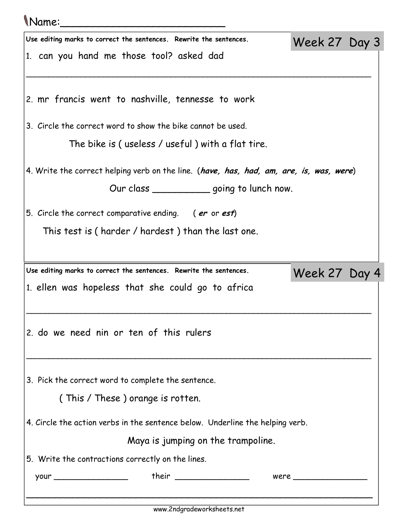## Name:\_\_\_\_\_\_\_\_\_\_\_\_\_\_\_\_\_\_\_\_\_\_\_\_\_

| Use editing marks to correct the sentences. Rewrite the sentences.                      | Week 27 Day 3 |  |
|-----------------------------------------------------------------------------------------|---------------|--|
| 1. can you hand me those tool? asked dad                                                |               |  |
| 2. mr francis went to nashville, tennesse to work                                       |               |  |
|                                                                                         |               |  |
| 3. Circle the correct word to show the bike cannot be used.                             |               |  |
| The bike is (useless / useful) with a flat tire.                                        |               |  |
| 4. Write the correct helping verb on the line. (have, has, had, am, are, is, was, were) |               |  |
| Our class ______________going to lunch now.                                             |               |  |
| 5. Circle the correct comparative ending. (er or est)                                   |               |  |
| This test is (harder / hardest) than the last one.                                      |               |  |
|                                                                                         |               |  |
| Use editing marks to correct the sentences. Rewrite the sentences.                      | Week 27 Day 4 |  |
|                                                                                         |               |  |
| 1. ellen was hopeless that she could go to africa                                       |               |  |
|                                                                                         |               |  |
| 2. do we need nin or ten of this rulers                                                 |               |  |
|                                                                                         |               |  |
| 3. Pick the correct word to complete the sentence.                                      |               |  |
| (This / These) orange is rotten.                                                        |               |  |
| 4. Circle the action verbs in the sentence below. Underline the helping verb.           |               |  |
| Maya is jumping on the trampoline.                                                      |               |  |
| 5. Write the contractions correctly on the lines.                                       |               |  |
|                                                                                         |               |  |